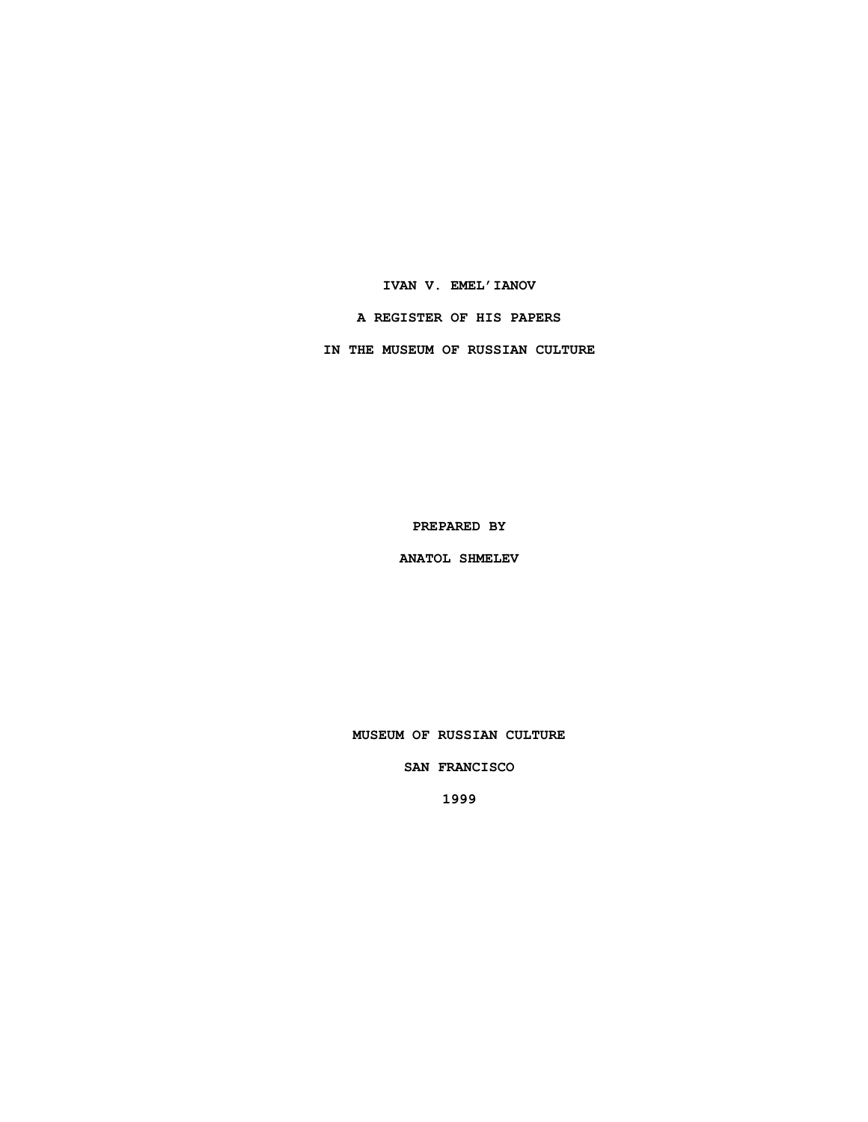**IVAN V. EMEL'IANOV**

**A REGISTER OF HIS PAPERS**

**IN THE MUSEUM OF RUSSIAN CULTURE**

**PREPARED BY**

**ANATOL SHMELEV**

**MUSEUM OF RUSSIAN CULTURE**

**SAN FRANCISCO**

**1999**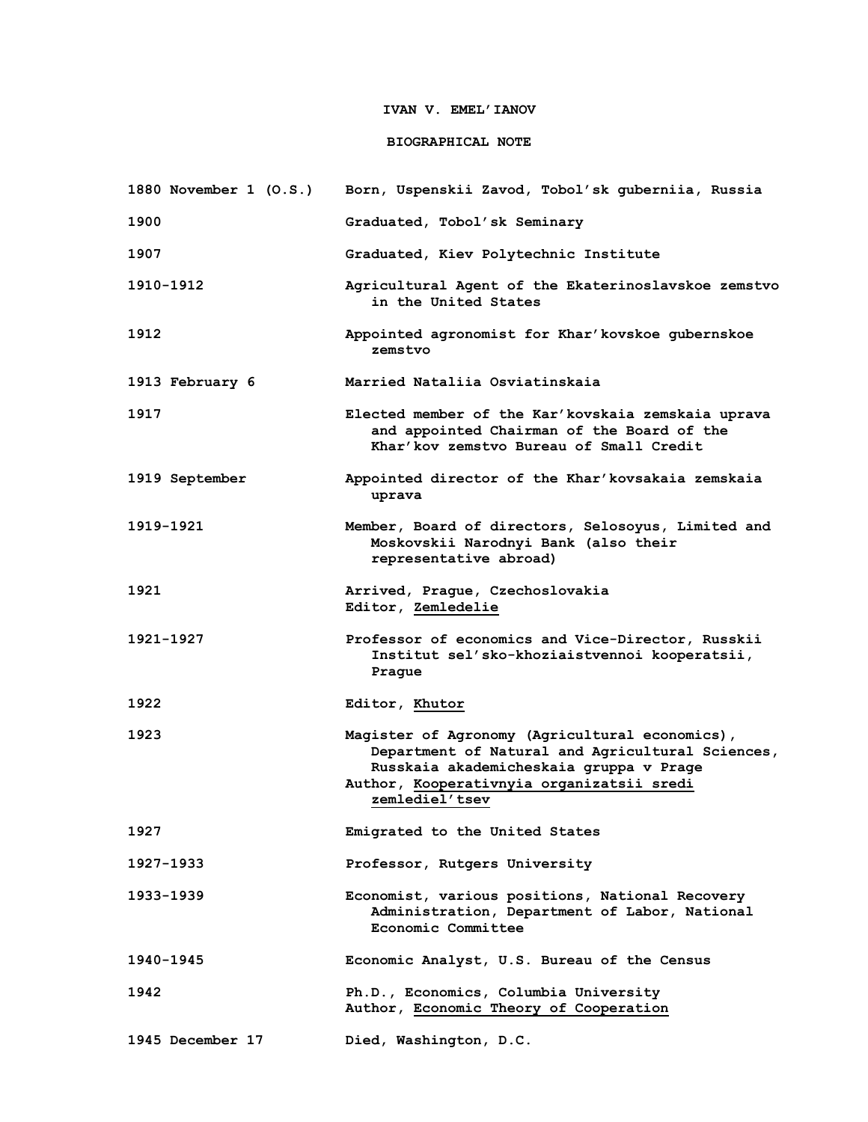# **IVAN V. EMEL'IANOV**

## **BIOGRAPHICAL NOTE**

| 1880 November 1 (0.S.) | Born, Uspenskii Zavod, Tobol'sk guberniia, Russia                                                                                                                                                            |
|------------------------|--------------------------------------------------------------------------------------------------------------------------------------------------------------------------------------------------------------|
| 1900                   | Graduated, Tobol'sk Seminary                                                                                                                                                                                 |
| 1907                   | Graduated, Kiev Polytechnic Institute                                                                                                                                                                        |
| 1910-1912              | Agricultural Agent of the Ekaterinoslavskoe zemstvo<br>in the United States                                                                                                                                  |
| 1912                   | Appointed agronomist for Khar' kovskoe gubernskoe<br>zemstvo                                                                                                                                                 |
| 1913 February 6        | Married Nataliia Osviatinskaia                                                                                                                                                                               |
| 1917                   | Elected member of the Kar'kovskaia zemskaia uprava<br>and appointed Chairman of the Board of the<br>Khar' kov zemstvo Bureau of Small Credit                                                                 |
| 1919 September         | Appointed director of the Khar' kovsakaia zemskaia<br>uprava                                                                                                                                                 |
| 1919-1921              | Member, Board of directors, Selosoyus, Limited and<br>Moskovskii Narodnyi Bank (also their<br>representative abroad)                                                                                         |
| 1921                   | Arrived, Prague, Czechoslovakia<br>Editor, Zemledelie                                                                                                                                                        |
| 1921-1927              | Professor of economics and Vice-Director, Russkii<br>Institut sel'sko-khoziaistvennoi kooperatsii,<br>Prague                                                                                                 |
| 1922                   | Editor, Khutor                                                                                                                                                                                               |
| 1923                   | Magister of Agronomy (Agricultural economics),<br>Department of Natural and Agricultural Sciences,<br>Russkaia akademicheskaia gruppa v Prage<br>Author, Kooperativnyia organizatsii sredi<br>zemlediel'tsev |
| 1927                   | Emigrated to the United States                                                                                                                                                                               |
| 1927–1933              | Professor, Rutgers University                                                                                                                                                                                |
| 1933-1939              | Economist, various positions, National Recovery<br>Administration, Department of Labor, National<br>Economic Committee                                                                                       |
| 1940-1945              | Economic Analyst, U.S. Bureau of the Census                                                                                                                                                                  |
| 1942                   | Ph.D., Economics, Columbia University<br>Author, Economic Theory of Cooperation                                                                                                                              |
| 1945 December 17       | Died, Washington, D.C.                                                                                                                                                                                       |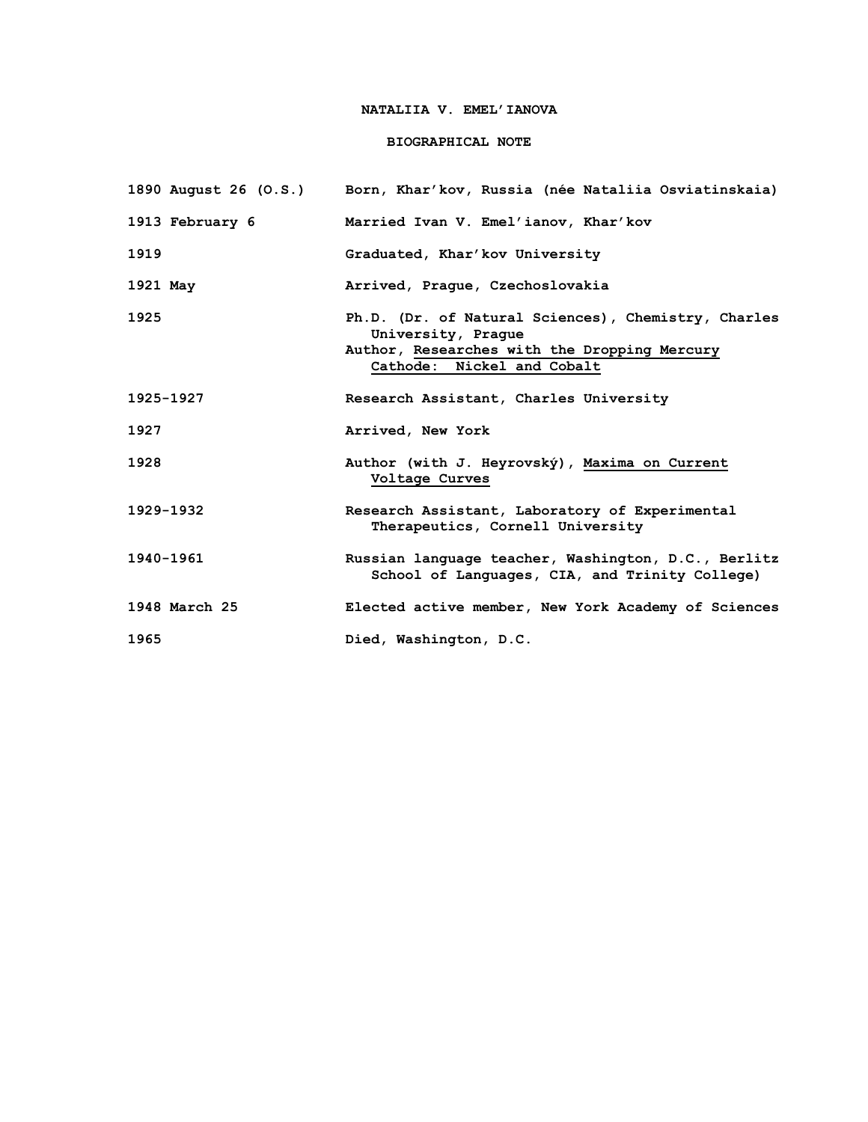# **NATALIIA V. EMEL'IANOVA**

## **BIOGRAPHICAL NOTE**

|                 | 1890 August 26 (O.S.)     Born, Khar'kov, Russia (née Nataliia Osviatinskaia)                                                                           |
|-----------------|---------------------------------------------------------------------------------------------------------------------------------------------------------|
| 1913 February 6 | Married Ivan V. Emel'ianov, Khar'kov                                                                                                                    |
| 1919            | Graduated, Khar'kov University                                                                                                                          |
| 1921 May        | Arrived, Praque, Czechoslovakia                                                                                                                         |
| 1925            | Ph.D. (Dr. of Natural Sciences), Chemistry, Charles<br>University, Praque<br>Author, Researches with the Dropping Mercury<br>Cathode: Nickel and Cobalt |
| 1925-1927       | Research Assistant, Charles University                                                                                                                  |
| 1927            | Arrived, New York                                                                                                                                       |
| 1928            | Author (with J. Heyrovský), Maxima on Current<br>Voltage Curves                                                                                         |
| 1929-1932       | Research Assistant, Laboratory of Experimental<br>Therapeutics, Cornell University                                                                      |
| 1940-1961       | Russian language teacher, Washington, D.C., Berlitz<br>School of Languages, CIA, and Trinity College)                                                   |
| 1948 March 25   | Elected active member, New York Academy of Sciences                                                                                                     |
| 1965            | Died, Washington, D.C.                                                                                                                                  |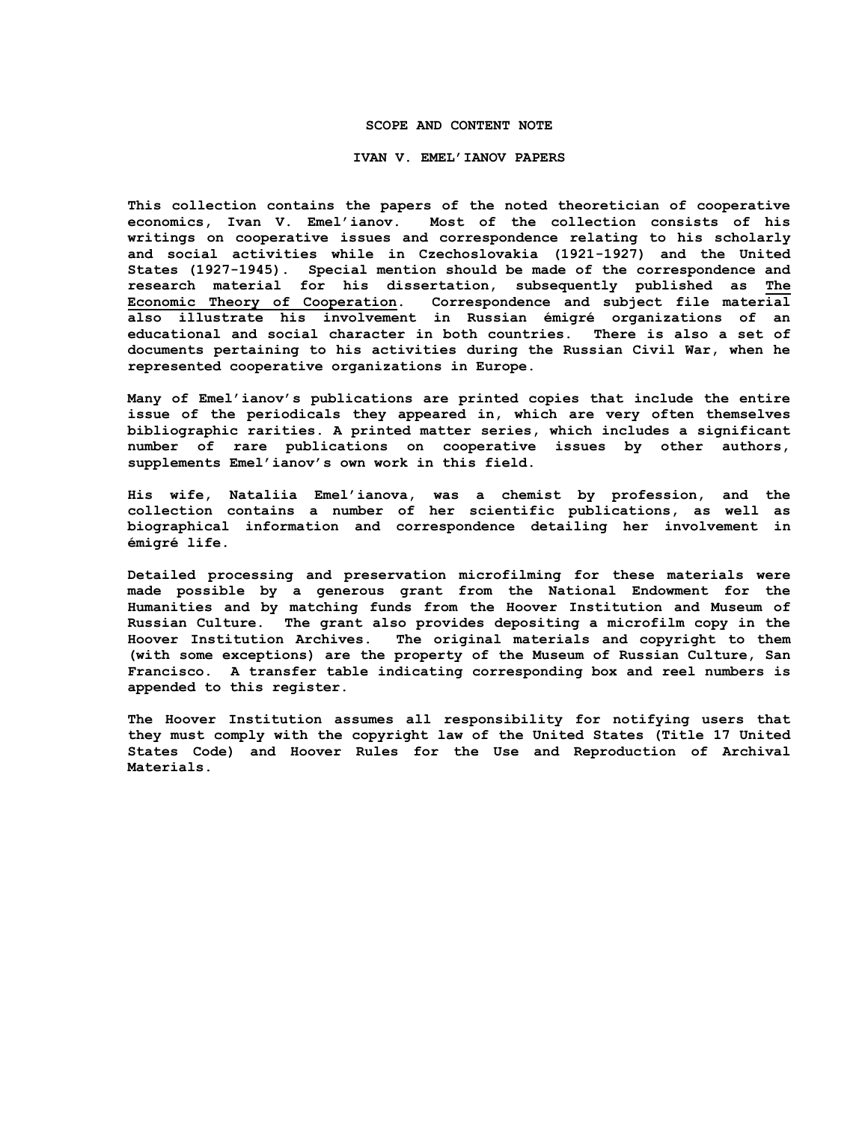### **SCOPE AND CONTENT NOTE**

### **IVAN V. EMEL'IANOV PAPERS**

**This collection contains the papers of the noted theoretician of cooperative economics, Ivan V. Emel'ianov. Most of the collection consists of his writings on cooperative issues and correspondence relating to his scholarly and social activities while in Czechoslovakia (1921-1927) and the United States (1927-1945). Special mention should be made of the correspondence and research material for his dissertation, subsequently published as The Economic Theory of Cooperation. Correspondence and subject file material also illustrate his involvement in Russian émigré organizations of an educational and social character in both countries. There is also a set of documents pertaining to his activities during the Russian Civil War, when he represented cooperative organizations in Europe.**

**Many of Emel'ianov's publications are printed copies that include the entire issue of the periodicals they appeared in, which are very often themselves bibliographic rarities. A printed matter series, which includes a significant number of rare publications on cooperative issues by other authors, supplements Emel'ianov's own work in this field.**

**His wife, Nataliia Emel'ianova, was a chemist by profession, and the collection contains a number of her scientific publications, as well as biographical information and correspondence detailing her involvement in émigré life.**

**Detailed processing and preservation microfilming for these materials were made possible by a generous grant from the National Endowment for the Humanities and by matching funds from the Hoover Institution and Museum of Russian Culture. The grant also provides depositing a microfilm copy in the Hoover Institution Archives. The original materials and copyright to them (with some exceptions) are the property of the Museum of Russian Culture, San Francisco. A transfer table indicating corresponding box and reel numbers is appended to this register.**

**The Hoover Institution assumes all responsibility for notifying users that they must comply with the copyright law of the United States (Title 17 United States Code) and Hoover Rules for the Use and Reproduction of Archival Materials.**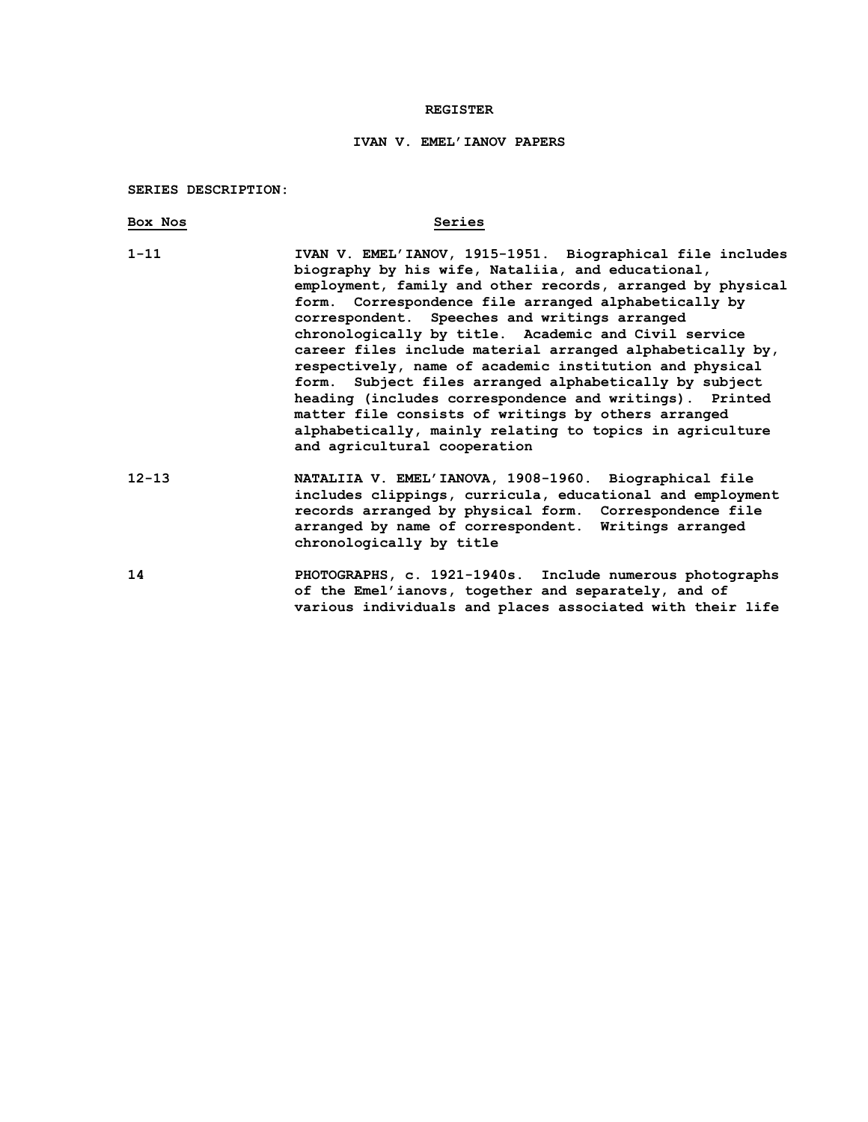#### **REGISTER**

### **IVAN V. EMEL'IANOV PAPERS**

#### **SERIES DESCRIPTION:**

#### **Box Nos Series**

- **1-11 IVAN V. EMEL'IANOV, 1915-1951. Biographical file includes biography by his wife, Nataliia, and educational, employment, family and other records, arranged by physical form. Correspondence file arranged alphabetically by correspondent. Speeches and writings arranged chronologically by title. Academic and Civil service career files include material arranged alphabetically by, respectively, name of academic institution and physical form. Subject files arranged alphabetically by subject heading (includes correspondence and writings). Printed matter file consists of writings by others arranged alphabetically, mainly relating to topics in agriculture and agricultural cooperation**
- **12-13 NATALIIA V. EMEL'IANOVA, 1908-1960. Biographical file includes clippings, curricula, educational and employment records arranged by physical form. Correspondence file arranged by name of correspondent. Writings arranged chronologically by title**
- **14 PHOTOGRAPHS, c. 1921-1940s. Include numerous photographs of the Emel'ianovs, together and separately, and of various individuals and places associated with their life**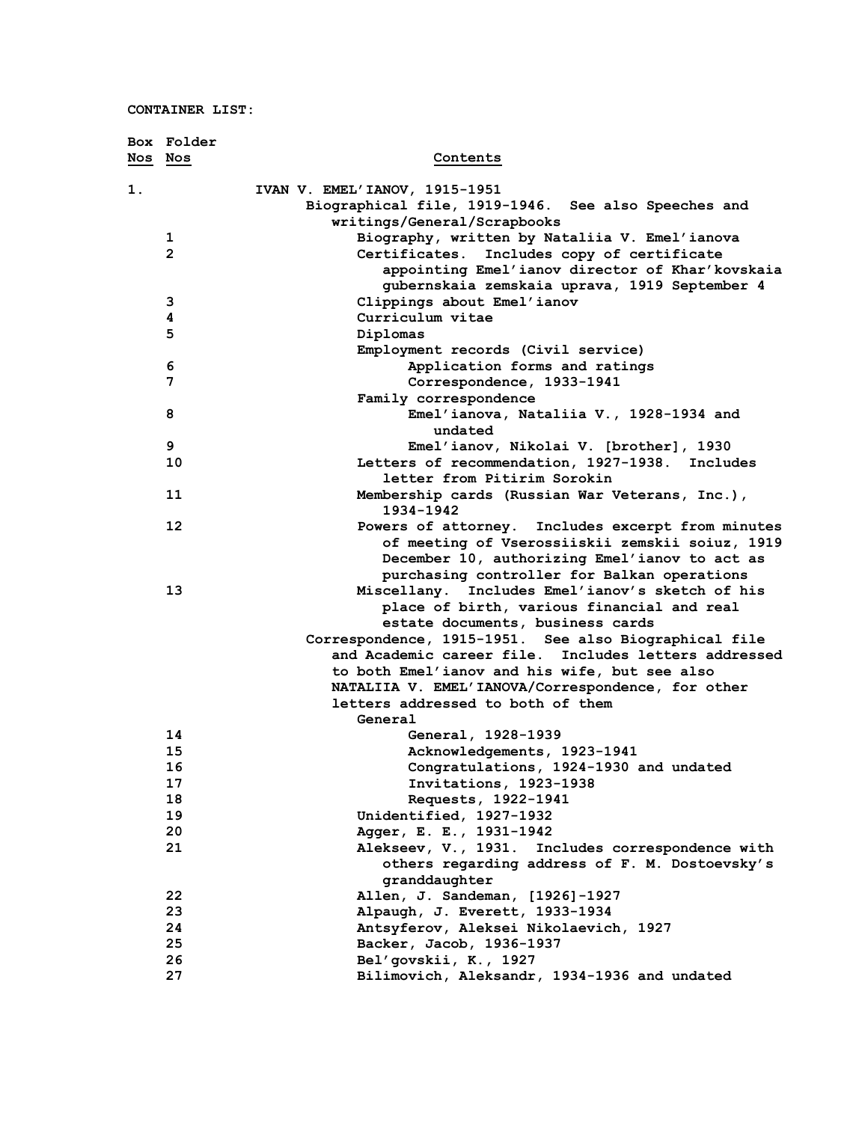| Nos Nos | Box Folder     | Contents                                                         |
|---------|----------------|------------------------------------------------------------------|
|         |                |                                                                  |
| 1.      |                | IVAN V. EMEL'IANOV, 1915-1951                                    |
|         |                | Biographical file, 1919-1946. See also Speeches and              |
|         |                | writings/General/Scrapbooks                                      |
|         | 1              | Biography, written by Nataliia V. Emel'ianova                    |
|         | $\overline{2}$ | Certificates. Includes copy of certificate                       |
|         |                | appointing Emel'ianov director of Khar'kovskaia                  |
|         |                | gubernskaia zemskaia uprava, 1919 September 4                    |
|         | 3              | Clippings about Emel'ianov                                       |
|         | 4              | Curriculum vitae                                                 |
|         | 5              | Diplomas                                                         |
|         |                | Employment records (Civil service)                               |
|         | 6              | Application forms and ratings                                    |
|         | 7              | Correspondence, 1933-1941                                        |
|         |                | Family correspondence                                            |
|         | 8              | Emel'ianova, Nataliia V., 1928-1934 and                          |
|         |                | undated                                                          |
|         | 9              | Emel'ianov, Nikolai V. [brother], 1930                           |
|         | 10             | Letters of recommendation, 1927-1938. Includes                   |
|         |                | letter from Pitirim Sorokin                                      |
|         | 11             | Membership cards (Russian War Veterans, Inc.),<br>1934-1942      |
|         | 12             | Powers of attorney. Includes excerpt from minutes                |
|         |                | of meeting of Vserossiiskii zemskii soiuz, 1919                  |
|         |                | December 10, authorizing Emel'ianov to act as                    |
|         |                | purchasing controller for Balkan operations                      |
|         | 13             | Miscellany. Includes Emel'ianov's sketch of his                  |
|         |                | place of birth, various financial and real                       |
|         |                | estate documents, business cards                                 |
|         |                | Correspondence, 1915-1951. See also Biographical file            |
|         |                | and Academic career file. Includes letters addressed             |
|         |                | to both Emel'ianov and his wife, but see also                    |
|         |                | NATALIIA V. EMEL'IANOVA/Correspondence, for other                |
|         |                | letters addressed to both of them                                |
|         |                | General                                                          |
|         | 14             | General, 1928-1939                                               |
|         | 15             | Acknowledgements, 1923-1941                                      |
|         | 16<br>17       | Congratulations, 1924-1930 and undated<br>Invitations, 1923-1938 |
|         | 18             | Requests, 1922-1941                                              |
|         | 19             | Unidentified, 1927-1932                                          |
|         | 20             | Agger, E. E., 1931-1942                                          |
|         | 21             | Alekseev, V., 1931. Includes correspondence with                 |
|         |                | others regarding address of F. M. Dostoevsky's                   |
|         |                | granddaughter                                                    |
|         | 22             | Allen, J. Sandeman, [1926]-1927                                  |
|         | 23             | Alpaugh, J. Everett, 1933-1934                                   |
|         | 24             | Antsyferov, Aleksei Nikolaevich, 1927                            |
|         | 25             | Backer, Jacob, 1936-1937                                         |
|         | 26             | Bel'govskii, K., 1927                                            |
|         | 27             | Bilimovich, Aleksandr, 1934-1936 and undated                     |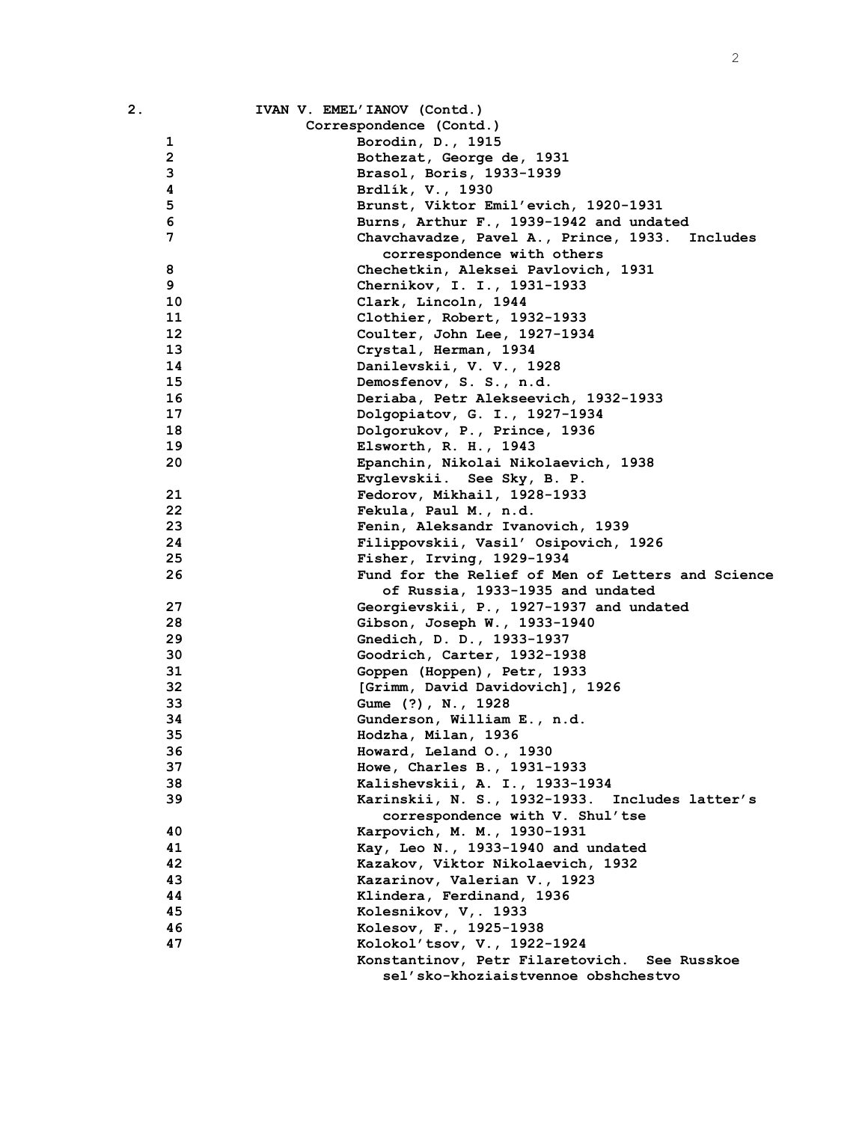| 2.             | IVAN V. EMEL'IANOV (Contd.)                       |
|----------------|---------------------------------------------------|
|                | Correspondence (Contd.)                           |
| $\mathbf 1$    | Borodin, D., 1915                                 |
| $\mathbf{2}$   | Bothezat, George de, 1931                         |
| 3              | Brasol, Boris, 1933-1939                          |
| 4              | Brdlík, V., 1930                                  |
| 5              | Brunst, Viktor Emil'evich, 1920-1931              |
| 6              | Burns, Arthur F., 1939-1942 and undated           |
| $\overline{7}$ |                                                   |
|                | Chavchavadze, Pavel A., Prince, 1933. Includes    |
|                | correspondence with others                        |
| 8              | Chechetkin, Aleksei Pavlovich, 1931               |
| 9              | Chernikov, I. I., 1931-1933                       |
| 10             | Clark, Lincoln, 1944                              |
| 11             | Clothier, Robert, 1932-1933                       |
| 12             | Coulter, John Lee, 1927-1934                      |
| 13             | Crystal, Herman, 1934                             |
| 14             | Danilevskii, V. V., 1928                          |
| 15             | Demosfenov, S. S., n.d.                           |
| 16             | Deriaba, Petr Alekseevich, 1932-1933              |
| 17             | Dolgopiatov, G. I., 1927-1934                     |
| 18             | Dolgorukov, P., Prince, 1936                      |
| 19             | Elsworth, R. H., 1943                             |
| 20             | Epanchin, Nikolai Nikolaevich, 1938               |
|                | Evglevskii. See Sky, B. P.                        |
| 21             | Fedorov, Mikhail, 1928-1933                       |
| 22             | Fekula, Paul M., n.d.                             |
| 23             | Fenin, Aleksandr Ivanovich, 1939                  |
|                |                                                   |
| 24             | Filippovskii, Vasil' Osipovich, 1926              |
| 25             | Fisher, Irving, 1929-1934                         |
| 26             | Fund for the Relief of Men of Letters and Science |
|                | of Russia, 1933-1935 and undated                  |
| 27             | Georgievskii, P., 1927-1937 and undated           |
| 28             | Gibson, Joseph W., 1933-1940                      |
| 29             | Gnedich, D. D., 1933-1937                         |
| 30             | Goodrich, Carter, 1932-1938                       |
| 31             | Goppen (Hoppen), Petr, 1933                       |
| 32             | [Grimm, David Davidovich], 1926                   |
| 33             | Gume (?), N., 1928                                |
| 34             | Gunderson, William E., n.d.                       |
| 35             | Hodzha, Milan, 1936                               |
| 36             | Howard, Leland O., 1930                           |
| 37             | Howe, Charles B., 1931-1933                       |
| 38             | Kalishevskii, A. I., 1933-1934                    |
| 39             | Karinskii, N. S., 1932-1933. Includes latter's    |
|                | correspondence with V. Shul'tse                   |
| 40             | Karpovich, M. M., 1930-1931                       |
| 41             | Kay, Leo N., 1933-1940 and undated                |
| 42             | Kazakov, Viktor Nikolaevich, 1932                 |
| 43             | Kazarinov, Valerian V., 1923                      |
| 44             | Klindera, Ferdinand, 1936                         |
| 45             | Kolesnikov, V,. 1933                              |
| 46             | Kolesov, F., 1925-1938                            |
| 47             | Kolokol'tsov, V., 1922-1924                       |
|                | Konstantinov, Petr Filaretovich. See Russkoe      |
|                |                                                   |
|                | sel'sko-khoziaistvennoe obshchestvo               |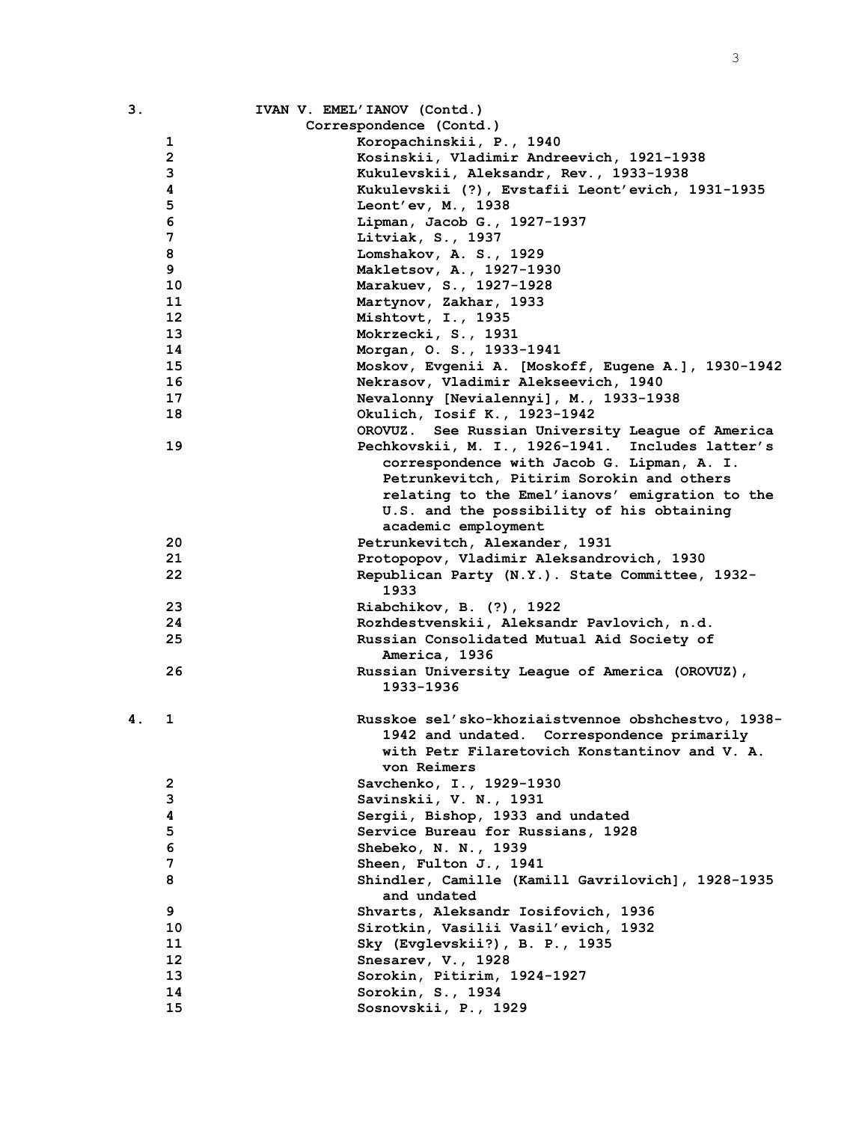| 3. |                         | IVAN V. EMEL'IANOV (Contd.)                                |
|----|-------------------------|------------------------------------------------------------|
|    |                         | Correspondence (Contd.)                                    |
|    | 1                       | Koropachinskii, P., 1940                                   |
|    | $\overline{\mathbf{c}}$ | Kosinskii, Vladimir Andreevich, 1921-1938                  |
|    | 3                       | Kukulevskii, Aleksandr, Rev., 1933-1938                    |
|    | 4                       | Kukulevskii (?), Evstafii Leont'evich, 1931-1935           |
|    | 5                       | Leont'ev, M., 1938                                         |
|    | 6                       | Lipman, Jacob G., 1927-1937                                |
|    | 7                       | Litviak, S., 1937                                          |
|    | 8                       | Lomshakov, A. S., 1929                                     |
|    | 9                       | Makletsov, A., 1927-1930                                   |
|    | 10                      | Marakuev, S., 1927-1928                                    |
|    | 11                      | Martynov, Zakhar, 1933                                     |
|    | 12                      | Mishtovt, I., 1935                                         |
|    | 13                      | Mokrzecki, S., 1931                                        |
|    | 14                      | Morgan, O. S., 1933-1941                                   |
|    | 15                      | Moskov, Evgenii A. [Moskoff, Eugene A.], 1930-1942         |
|    | 16                      | Nekrasov, Vladimir Alekseevich, 1940                       |
|    | 17                      | Nevalonny [Nevialennyi], M., 1933-1938                     |
|    | 18                      | Okulich, Iosif K., 1923-1942                               |
|    |                         | <b>OROVUZ.</b><br>See Russian University League of America |
|    | 19                      | Pechkovskii, M. I., 1926-1941. Includes latter's           |
|    |                         | correspondence with Jacob G. Lipman, A. I.                 |
|    |                         | Petrunkevitch, Pitirim Sorokin and others                  |
|    |                         | relating to the Emel'ianovs' emigration to the             |
|    |                         | U.S. and the possibility of his obtaining                  |
|    |                         | academic employment                                        |
|    | 20                      |                                                            |
|    |                         | Petrunkevitch, Alexander, 1931                             |
|    | 21                      | Protopopov, Vladimir Aleksandrovich, 1930                  |
|    | 22                      | Republican Party (N.Y.). State Committee, 1932-            |
|    |                         | 1933                                                       |
|    | 23                      | Riabchikov, B. (?), 1922                                   |
|    | 24                      | Rozhdestvenskii, Aleksandr Pavlovich, n.d.                 |
|    | 25                      | Russian Consolidated Mutual Aid Society of                 |
|    |                         | America, 1936                                              |
|    | 26                      | Russian University League of America (OROVUZ),             |
|    |                         | 1933-1936                                                  |
|    |                         |                                                            |
| 4. | 1                       | Russkoe sel'sko-khoziaistvennoe obshchestvo, 1938-         |
|    |                         | 1942 and undated. Correspondence primarily                 |
|    |                         | with Petr Filaretovich Konstantinov and V. A.              |
|    |                         | von Reimers                                                |
|    | 2                       | Savchenko, I., 1929-1930                                   |
|    | 3                       | Savinskii, V. N., 1931                                     |
|    | 4                       | Sergii, Bishop, 1933 and undated                           |
|    | 5                       | Service Bureau for Russians, 1928                          |
|    | 6                       | Shebeko, N. N., 1939                                       |
|    | 7                       | Sheen, Fulton J., 1941                                     |
|    | 8                       | Shindler, Camille (Kamill Gavrilovich], 1928-1935          |
|    |                         | and undated                                                |
|    | 9                       | Shvarts, Aleksandr Iosifovich, 1936                        |
|    | 10                      | Sirotkin, Vasilii Vasil'evich, 1932                        |
|    | 11                      | Sky (Evglevskii?), B. P., 1935                             |
|    | 12                      | Snesarev, V., 1928                                         |
|    | 13                      | Sorokin, Pitirim, 1924-1927                                |
|    | 14                      | Sorokin, S., 1934                                          |
|    | 15                      | Sosnovskii, P., 1929                                       |
|    |                         |                                                            |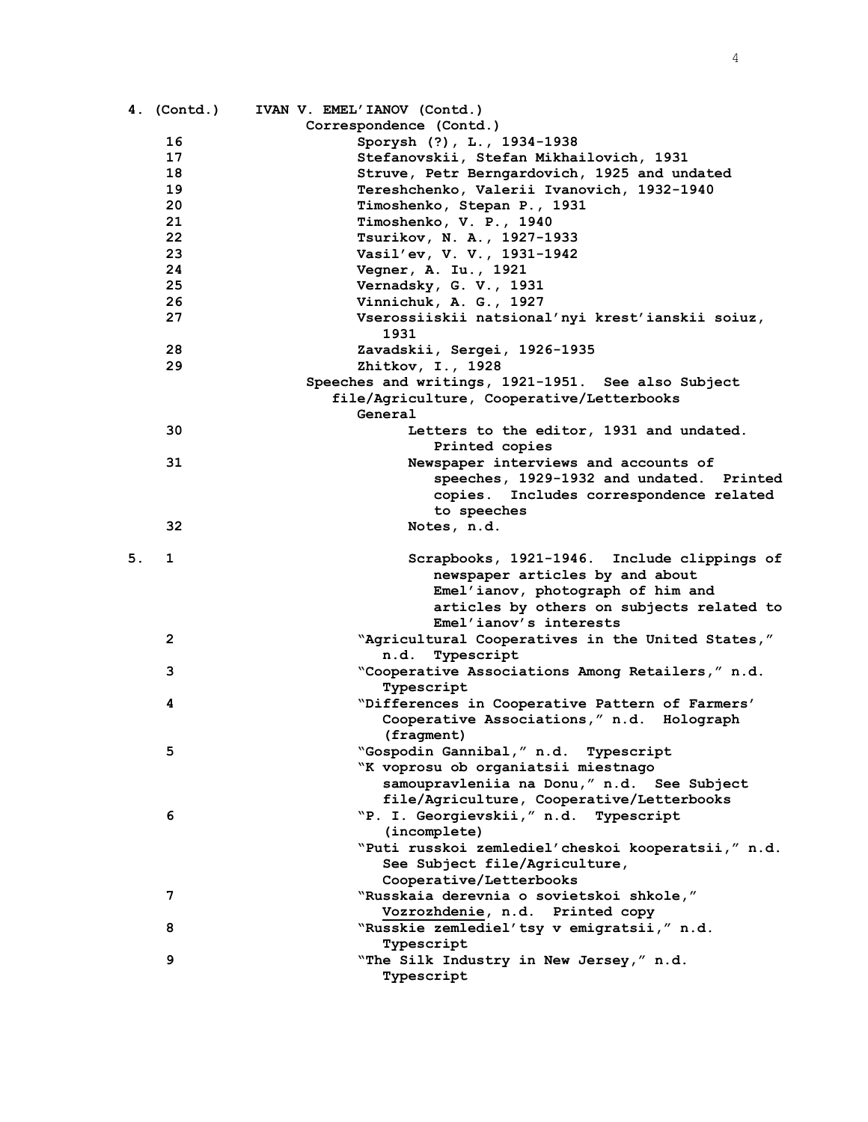|    | 4. (Contd.)  | IVAN V. EMEL'IANOV (Contd.)                              |
|----|--------------|----------------------------------------------------------|
|    |              | Correspondence (Contd.)                                  |
|    | 16           | Sporysh (?), L., 1934-1938                               |
|    | 17           | Stefanovskii, Stefan Mikhailovich, 1931                  |
|    | 18           | Struve, Petr Berngardovich, 1925 and undated             |
|    | 19           | Tereshchenko, Valerii Ivanovich, 1932-1940               |
|    | 20           | Timoshenko, Stepan P., 1931                              |
|    | 21           | Timoshenko, V. P., 1940                                  |
|    | 22           | Tsurikov, N. A., 1927-1933                               |
|    | 23           | Vasil'ev, V. V., 1931-1942                               |
|    | 24           | Vegner, A. Iu., 1921                                     |
|    | 25           | Vernadsky, G. V., 1931                                   |
|    | 26           | Vinnichuk, A. G., 1927                                   |
|    | 27           |                                                          |
|    |              | Vserossiiskii natsional'nyi krest'ianskii soiuz,<br>1931 |
|    | 28           | Zavadskii, Sergei, 1926-1935                             |
|    | 29           | Zhitkov, I., 1928                                        |
|    |              | Speeches and writings, 1921-1951. See also Subject       |
|    |              | file/Agriculture, Cooperative/Letterbooks                |
|    |              | General                                                  |
|    | 30           | Letters to the editor, 1931 and undated.                 |
|    |              | Printed copies                                           |
|    | 31           | Newspaper interviews and accounts of                     |
|    |              | speeches, 1929-1932 and undated. Printed                 |
|    |              | copies. Includes correspondence related                  |
|    |              | to speeches                                              |
|    | 32           | Notes, n.d.                                              |
|    |              |                                                          |
| 5. | 1            | Scrapbooks, 1921-1946. Include clippings of              |
|    |              |                                                          |
|    |              | newspaper articles by and about                          |
|    |              | Emel'ianov, photograph of him and                        |
|    |              | articles by others on subjects related to                |
|    |              | Emel'ianov's interests                                   |
|    | $\mathbf{2}$ |                                                          |
|    |              | "Agricultural Cooperatives in the United States,"        |
|    |              | n.d. Typescript                                          |
|    | 3            | "Cooperative Associations Among Retailers," n.d.         |
|    |              | Typescript                                               |
|    | 4            | "Differences in Cooperative Pattern of Farmers'          |
|    |              | Cooperative Associations," n.d. Holograph                |
|    |              | (fragment)                                               |
|    | 5            | "Gospodin Gannibal, " n.d. Typescript                    |
|    |              | "K voprosu ob organiatsii miestnago                      |
|    |              | samoupravleniia na Donu," n.d. See Subject               |
|    |              | file/Agriculture, Cooperative/Letterbooks                |
|    | 6            | "P. I. Georgievskii," n.d. Typescript                    |
|    |              | (incomplete)                                             |
|    |              | "Puti russkoi zemlediel'cheskoi kooperatsii," n.d.       |
|    |              | See Subject file/Agriculture,                            |
|    |              | Cooperative/Letterbooks                                  |
|    | 7            | "Russkaia derevnia o sovietskoi shkole,"                 |
|    |              | Vozrozhdenie, n.d. Printed copy                          |
|    | 8            | "Russkie zemlediel'tsy v emigratsii," n.d.               |
|    |              | Typescript                                               |
|    | 9            | "The Silk Industry in New Jersey," n.d.                  |
|    |              |                                                          |
|    |              |                                                          |
|    |              |                                                          |
|    |              |                                                          |
|    |              |                                                          |
|    |              |                                                          |
|    |              |                                                          |
|    |              |                                                          |
|    |              |                                                          |
|    |              |                                                          |
|    |              |                                                          |
|    |              |                                                          |
|    |              |                                                          |
|    |              |                                                          |
|    |              |                                                          |
|    |              | Typescript                                               |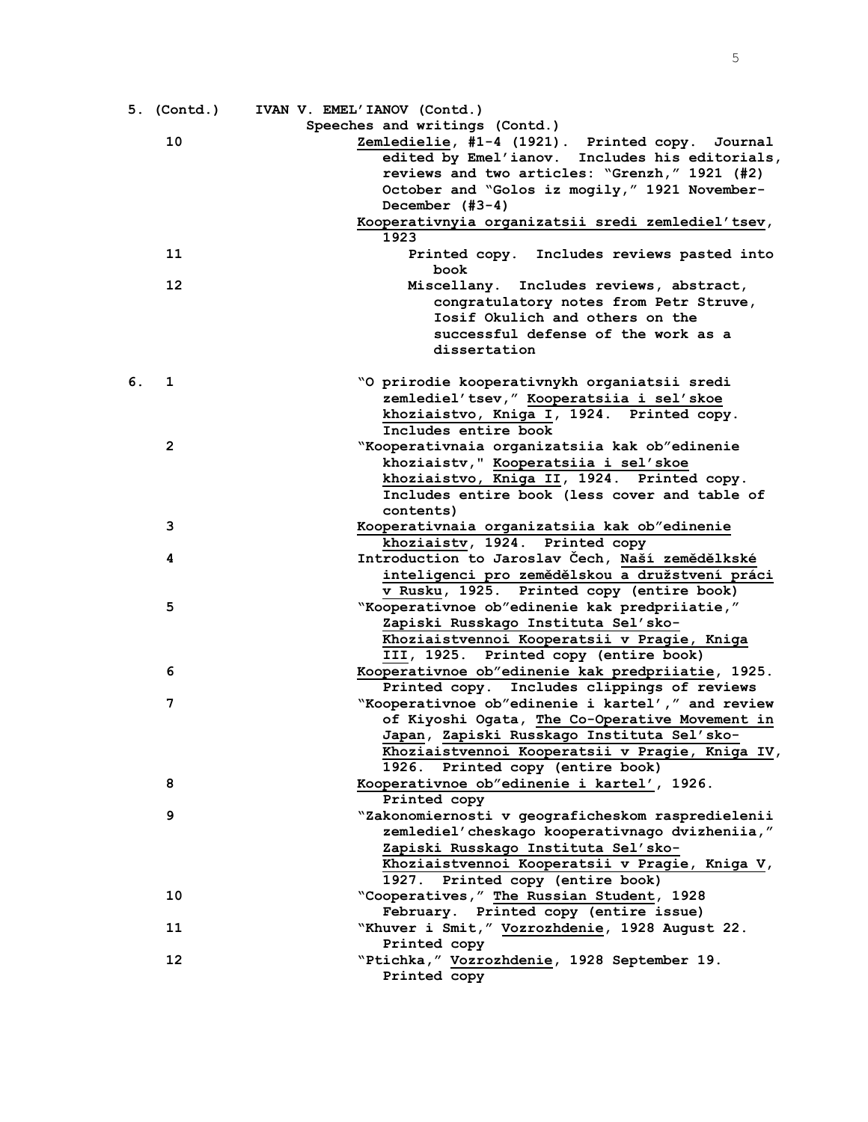|    | 5. (Contd.)    | IVAN V. EMEL'IANOV (Contd.)                       |
|----|----------------|---------------------------------------------------|
|    |                | Speeches and writings (Contd.)                    |
|    | 10             | Zemledielie, #1-4 (1921). Printed copy. Journal   |
|    |                | edited by Emel'ianov. Includes his editorials,    |
|    |                | reviews and two articles: "Grenzh," 1921 (#2)     |
|    |                | October and "Golos iz mogily," 1921 November-     |
|    |                | December $(\#3-4)$                                |
|    |                | Kooperativnyia organizatsii sredi zemlediel'tsev, |
|    |                | 1923                                              |
|    | 11             | Printed copy. Includes reviews pasted into        |
|    |                | book                                              |
|    | 12             | Miscellany. Includes reviews, abstract,           |
|    |                | congratulatory notes from Petr Struve,            |
|    |                | Iosif Okulich and others on the                   |
|    |                | successful defense of the work as a               |
|    |                | dissertation                                      |
|    |                |                                                   |
| б. | 1              | "O prirodie kooperativnykh organiatsii sredi      |
|    |                | zemlediel'tsev," Kooperatsiia i sel'skoe          |
|    |                | khoziaistvo, Kniga I, 1924. Printed copy.         |
|    |                | Includes entire book                              |
|    | $\overline{2}$ | "Kooperativnaia organizatsiia kak ob"edinenie     |
|    |                | khoziaistv," Kooperatsiia i sel'skoe              |
|    |                | khoziaistvo, Kniga II, 1924. Printed copy.        |
|    |                | Includes entire book (less cover and table of     |
|    |                | contents)                                         |
|    | 3              | Kooperativnaia organizatsiia kak ob"edinenie      |
|    |                | khoziaistv, 1924. Printed copy                    |
|    | 4              | Introduction to Jaroslav Čech, Naší zemědělkské   |
|    |                | inteligenci pro zemědělskou a družstvení práci    |
|    |                | v Rusku, 1925. Printed copy (entire book)         |
|    | 5              | "Kooperativnoe ob"edinenie kak predpriiatie,"     |
|    |                | Zapiski Russkago Instituta Sel'sko-               |
|    |                | Khoziaistvennoi Kooperatsii v Pragie, Kniga       |
|    |                | III, 1925. Printed copy (entire book)             |
|    | 6              | Kooperativnoe ob"edinenie kak predpriiatie, 1925. |
|    |                | Printed copy. Includes clippings of reviews       |
|    | 7              | "Kooperativnoe ob"edinenie i kartel'," and review |
|    |                | of Kiyoshi Ogata, The Co-Operative Movement in    |
|    |                | Japan, Zapiski Russkago Instituta Sel'sko-        |
|    |                | Khoziaistvennoi Kooperatsii v Pragie, Kniga IV,   |
|    |                | 1926. Printed copy (entire book)                  |
|    | 8              | Kooperativnoe ob"edinenie i kartel', 1926.        |
|    |                | Printed copy                                      |
|    | 9              | "Zakonomiernosti v geograficheskom raspredielenii |
|    |                | zemlediel'cheskago kooperativnago dvizheniia,"    |
|    |                | Zapiski Russkago Instituta Sel'sko-               |
|    |                | Khoziaistvennoi Kooperatsii v Pragie, Kniga V,    |
|    |                | 1927. Printed copy (entire book)                  |
|    | 10             | "Cooperatives," The Russian Student, 1928         |
|    |                | February. Printed copy (entire issue)             |
|    | 11             | "Khuver i Smit," Vozrozhdenie, 1928 August 22.    |
|    |                | Printed copy                                      |
|    | 12             | "Ptichka, " Vozrozhdenie, 1928 September 19.      |
|    |                | Printed copy                                      |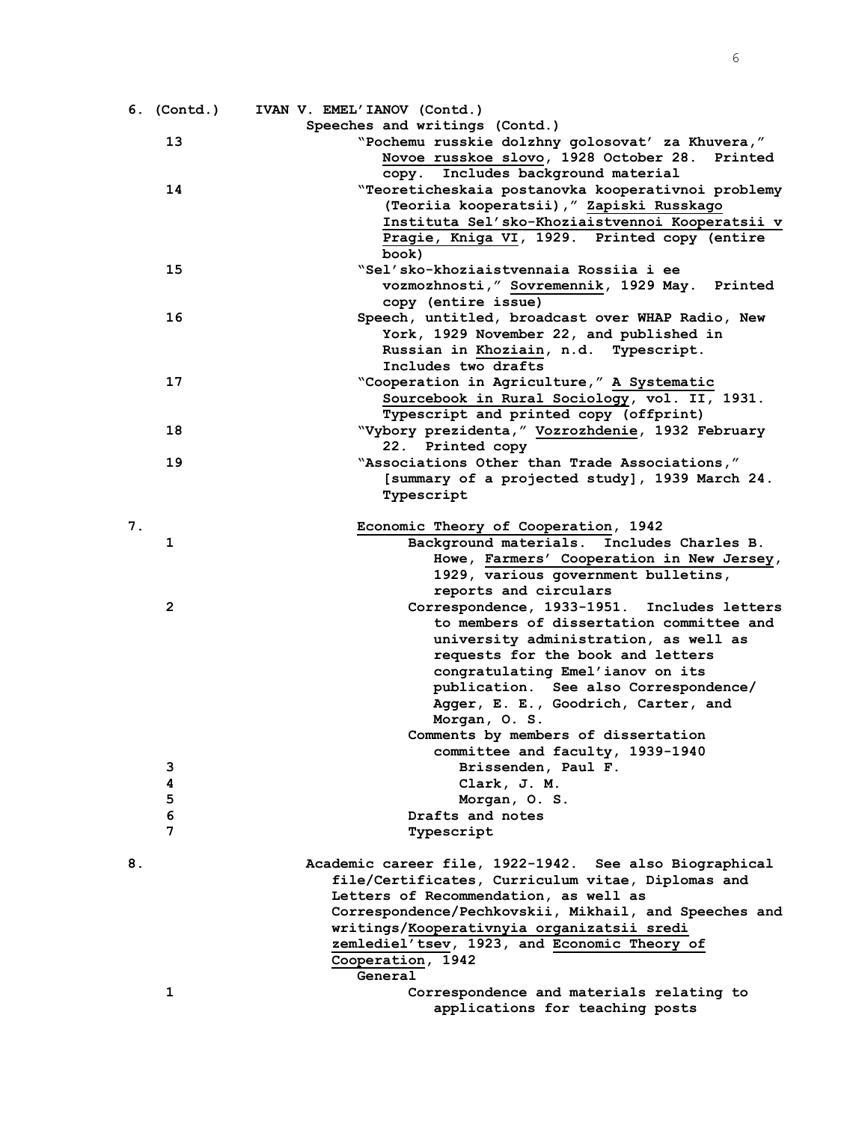|    | 6. (Contd.)  | IVAN V. EMEL'IANOV (Contd.)                                                                  |
|----|--------------|----------------------------------------------------------------------------------------------|
|    |              | Speeches and writings (Contd.)                                                               |
|    | 13           | "Pochemu russkie dolzhny golosovat' za Khuvera,"                                             |
|    |              | Novoe russkoe slovo, 1928 October 28. Printed                                                |
|    |              | copy. Includes background material                                                           |
|    | 14           | "Teoreticheskaia postanovka kooperativnoi problemy                                           |
|    |              | (Teoriia kooperatsii), " Zapiski Russkago                                                    |
|    |              | Instituta Sel'sko-Khoziaistvennoi Kooperatsii v                                              |
|    |              | Pragie, Kniga VI, 1929. Printed copy (entire                                                 |
|    |              | book)                                                                                        |
|    | 15           | "Sel'sko-khoziaistvennaia Rossiia i ee                                                       |
|    |              | vozmozhnosti, "Sovremennik, 1929 May. Printed                                                |
|    | 16           | copy (entire issue)                                                                          |
|    |              | Speech, untitled, broadcast over WHAP Radio, New<br>York, 1929 November 22, and published in |
|    |              | Russian in Khoziain, n.d. Typescript.                                                        |
|    |              | Includes two drafts                                                                          |
|    | 17           | "Cooperation in Agriculture," A Systematic                                                   |
|    |              | Sourcebook in Rural Sociology, vol. II, 1931.                                                |
|    |              | Typescript and printed copy (offprint)                                                       |
|    | 18           | "Vybory prezidenta, " Vozrozhdenie, 1932 February                                            |
|    |              | Printed copy<br>22.                                                                          |
|    | 19           | "Associations Other than Trade Associations,"                                                |
|    |              | [summary of a projected study], 1939 March 24.                                               |
|    |              | Typescript                                                                                   |
|    |              |                                                                                              |
| 7. |              | Economic Theory of Cooperation, 1942                                                         |
|    | 1            | Background materials. Includes Charles B.                                                    |
|    |              | Howe, Farmers' Cooperation in New Jersey,                                                    |
|    |              | 1929, various government bulletins,                                                          |
|    |              | reports and circulars                                                                        |
|    | $\mathbf{2}$ | Correspondence, 1933-1951. Includes letters                                                  |
|    |              | to members of dissertation committee and                                                     |
|    |              | university administration, as well as                                                        |
|    |              | requests for the book and letters                                                            |
|    |              | congratulating Emel'ianov on its                                                             |
|    |              | publication. See also Correspondence/<br>Agger, E. E., Goodrich, Carter, and                 |
|    |              | Morgan, O. S.                                                                                |
|    |              | Comments by members of dissertation                                                          |
|    |              | committee and faculty, 1939-1940                                                             |
|    | з            | Brissenden, Paul F.                                                                          |
|    | 4            | Clark, J. M.                                                                                 |
|    | 5            | Morgan, O. S.                                                                                |
|    | 6            | Drafts and notes                                                                             |
|    | 7            | Typescript                                                                                   |
|    |              |                                                                                              |
| 8. |              | Academic career file, 1922-1942. See also Biographical                                       |
|    |              | file/Certificates, Curriculum vitae, Diplomas and                                            |
|    |              | Letters of Recommendation, as well as                                                        |
|    |              | Correspondence/Pechkovskii, Mikhail, and Speeches and                                        |
|    |              | writings/Kooperativnyia organizatsii sredi                                                   |
|    |              | zemlediel'tsev, 1923, and Economic Theory of                                                 |
|    |              | Cooperation, 1942                                                                            |
|    |              | General                                                                                      |
|    | 1            | Correspondence and materials relating to                                                     |
|    |              | applications for teaching posts                                                              |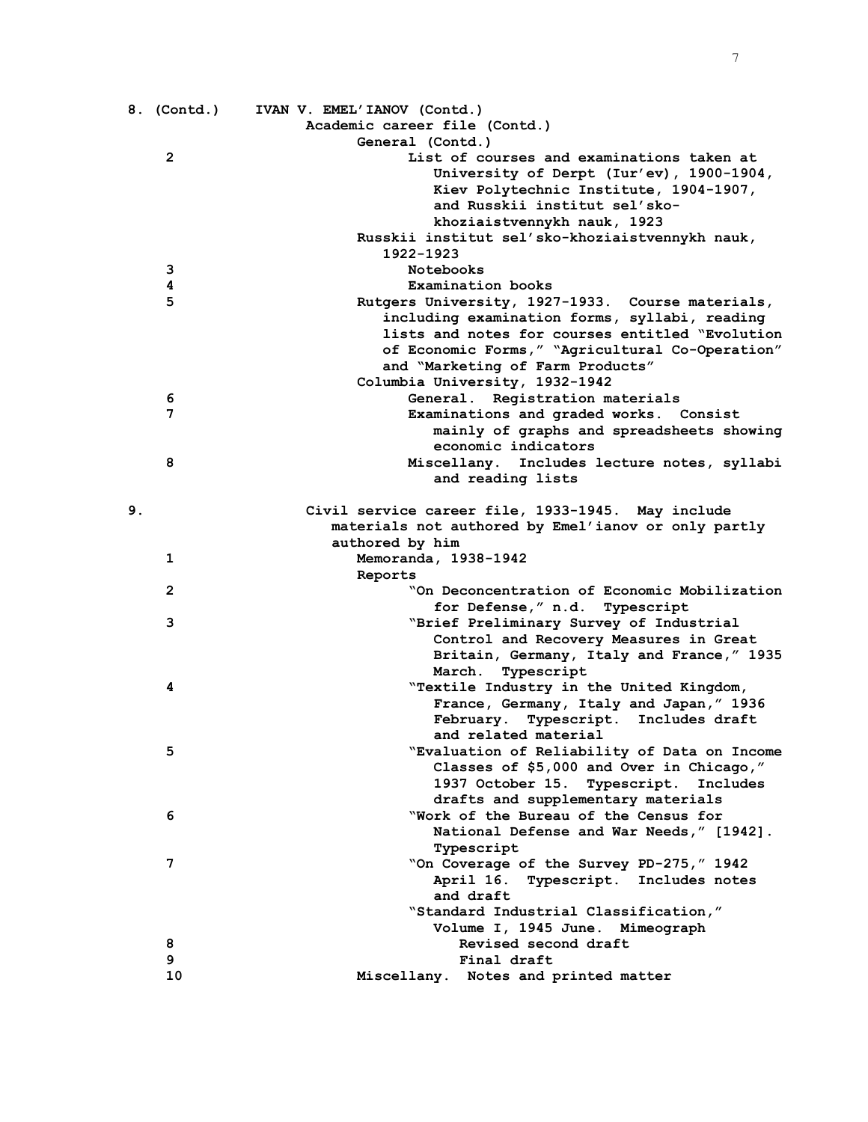|    | 8. (Contd.)    | IVAN V. EMEL'IANOV (Contd.)                         |
|----|----------------|-----------------------------------------------------|
|    |                | Academic career file (Contd.)                       |
|    |                | General (Contd.)                                    |
|    | $\overline{2}$ | List of courses and examinations taken at           |
|    |                | University of Derpt (Iur'ev), 1900-1904,            |
|    |                | Kiev Polytechnic Institute, 1904-1907,              |
|    |                | and Russkii institut sel'sko-                       |
|    |                | khoziaistvennykh nauk, 1923                         |
|    |                | Russkii institut sel'sko-khoziaistvennykh nauk,     |
|    |                | 1922-1923                                           |
|    | 3              | Notebooks                                           |
|    | 4              | Examination books                                   |
|    | 5              | Rutgers University, 1927-1933. Course materials,    |
|    |                | including examination forms, syllabi, reading       |
|    |                | lists and notes for courses entitled "Evolution     |
|    |                | of Economic Forms," "Agricultural Co-Operation"     |
|    |                | and "Marketing of Farm Products"                    |
|    |                | Columbia University, 1932-1942                      |
|    | 6              | General. Registration materials                     |
|    | 7              | Examinations and graded works. Consist              |
|    |                | mainly of graphs and spreadsheets showing           |
|    |                | economic indicators                                 |
|    | 8              | Miscellany. Includes lecture notes, syllabi         |
|    |                | and reading lists                                   |
|    |                |                                                     |
| 9. |                | Civil service career file, 1933-1945. May include   |
|    |                | materials not authored by Emel'ianov or only partly |
|    |                | authored by him                                     |
|    | 1              | Memoranda, 1938-1942                                |
|    |                | Reports                                             |
|    | $\mathbf{2}$   | "On Deconcentration of Economic Mobilization        |
|    |                | for Defense, " n.d. Typescript                      |
|    | 3              | "Brief Preliminary Survey of Industrial             |
|    |                | Control and Recovery Measures in Great              |
|    |                | Britain, Germany, Italy and France," 1935           |
|    |                | March.<br>Typescript                                |
|    | 4              | "Textile Industry in the United Kingdom,            |
|    |                | France, Germany, Italy and Japan," 1936             |
|    |                | February. Typescript. Includes draft                |
|    |                | and related material                                |
|    | 5              | "Evaluation of Reliability of Data on Income        |
|    |                | Classes of \$5,000 and Over in Chicago,"            |
|    |                | 1937 October 15. Typescript.<br>Includes            |
|    |                | drafts and supplementary materials                  |
|    | 6              | "Work of the Bureau of the Census for               |
|    |                | National Defense and War Needs," [1942].            |
|    |                | Typescript                                          |
|    | 7              | "On Coverage of the Survey PD-275," 1942            |
|    |                | April 16. Typescript. Includes notes                |
|    |                | and draft                                           |
|    |                | "Standard Industrial Classification,"               |
|    |                | Volume I, 1945 June. Mimeograph                     |
|    | 8              | Revised second draft                                |
|    | 9              | Final draft                                         |
|    | 10             | Miscellany. Notes and printed matter                |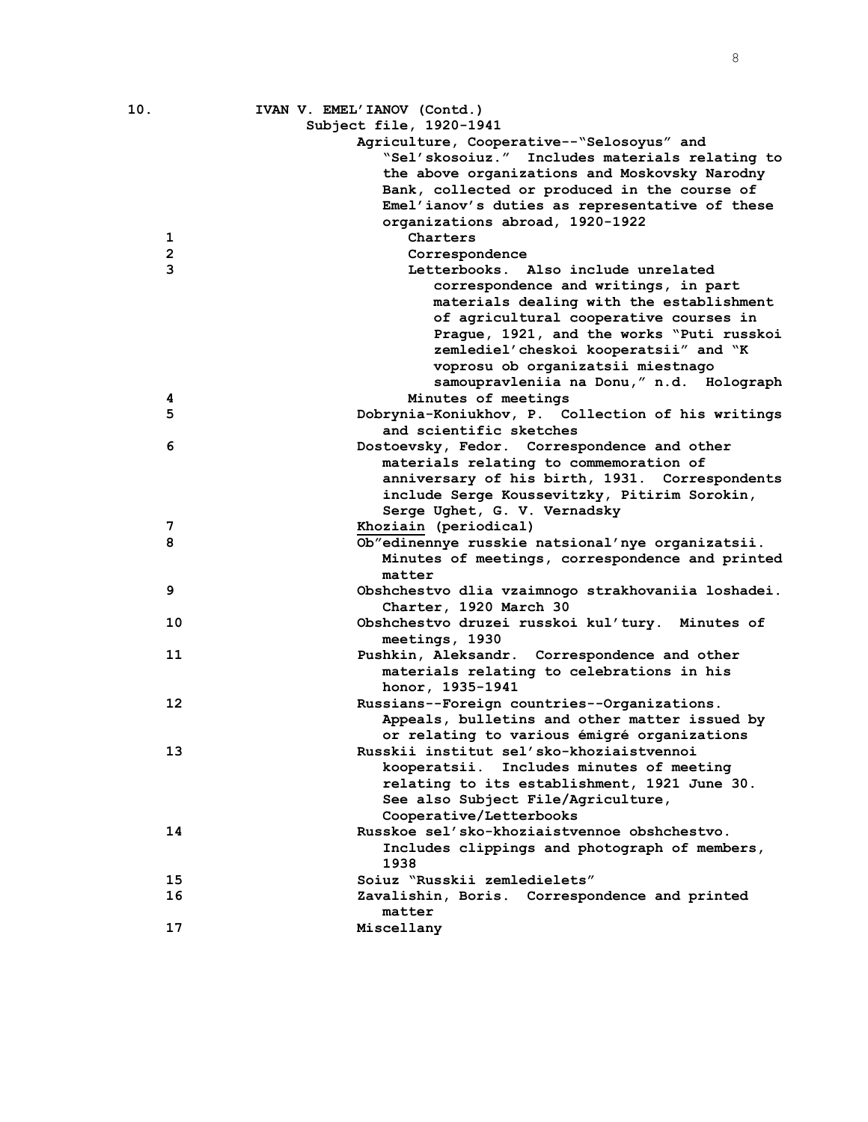| 10.                     | IVAN V. EMEL'IANOV (Contd.)                        |
|-------------------------|----------------------------------------------------|
|                         | Subject file, 1920-1941                            |
|                         | Agriculture, Cooperative--"Selosoyus" and          |
|                         | "Sel'skosoiuz." Includes materials relating to     |
|                         | the above organizations and Moskovsky Narodny      |
|                         | Bank, collected or produced in the course of       |
|                         | Emel'ianov's duties as representative of these     |
|                         | organizations abroad, 1920-1922                    |
| 1                       | Charters                                           |
| $\overline{\mathbf{c}}$ | Correspondence                                     |
| 3                       | Letterbooks. Also include unrelated                |
|                         | correspondence and writings, in part               |
|                         | materials dealing with the establishment           |
|                         | of agricultural cooperative courses in             |
|                         | Prague, 1921, and the works "Puti russkoi          |
|                         | zemlediel'cheskoi kooperatsii" and "K              |
|                         | voprosu ob organizatsii miestnago                  |
|                         | samoupravleniia na Donu," n.d. Holograph           |
| 4                       | Minutes of meetings                                |
| 5                       | Dobrynia-Koniukhov, P. Collection of his writings  |
|                         | and scientific sketches                            |
| 6                       | Dostoevsky, Fedor. Correspondence and other        |
|                         | materials relating to commemoration of             |
|                         | anniversary of his birth, 1931. Correspondents     |
|                         | include Serge Koussevitzky, Pitirim Sorokin,       |
|                         | Serge Ughet, G. V. Vernadsky                       |
| 7                       | Khoziain (periodical)                              |
| 8                       | Ob"edinennye russkie natsional'nye organizatsii.   |
|                         | Minutes of meetings, correspondence and printed    |
|                         | matter                                             |
| 9                       | Obshchestvo dlia vzaimnogo strakhovaniia loshadei. |
|                         | Charter, 1920 March 30                             |
| 10                      | Obshchestvo druzei russkoi kul'tury. Minutes of    |
|                         | meetings, 1930                                     |
| 11                      | Pushkin, Aleksandr. Correspondence and other       |
|                         | materials relating to celebrations in his          |
|                         | honor, 1935-1941                                   |
| 12                      | Russians--Foreign countries--Organizations.        |
|                         | Appeals, bulletins and other matter issued by      |
|                         | or relating to various émigré organizations        |
| 13                      | Russkii institut sel'sko-khoziaistvennoi           |
|                         | kooperatsii. Includes minutes of meeting           |
|                         | relating to its establishment, 1921 June 30.       |
|                         | See also Subject File/Agriculture,                 |
|                         | Cooperative/Letterbooks                            |
| 14                      | Russkoe sel'sko-khoziaistvennoe obshchestvo.       |
|                         | Includes clippings and photograph of members,      |
|                         | 1938                                               |
| 15                      | Soiuz "Russkii zemledielets"                       |
| 16                      | Zavalishin, Boris. Correspondence and printed      |
|                         | matter                                             |
| 17                      | Miscellany                                         |
|                         |                                                    |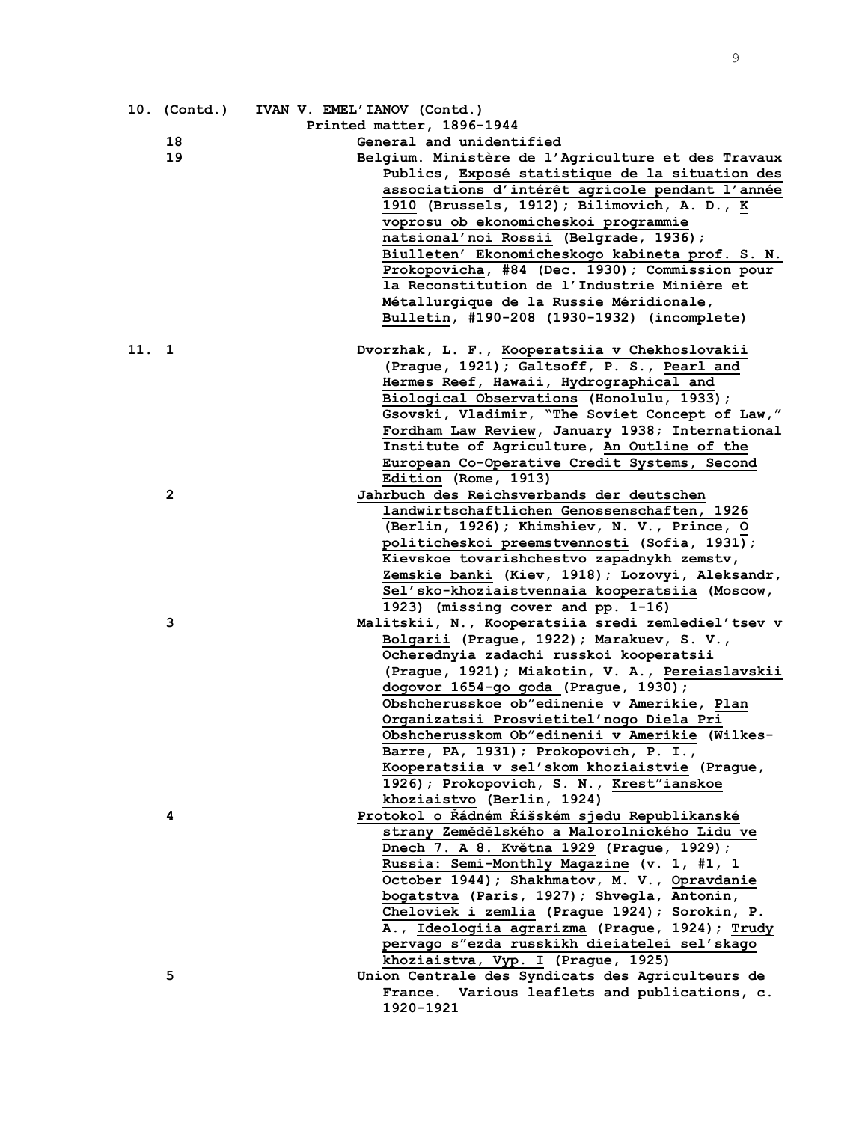|       | 10. (Contd.) | IVAN V. EMEL'IANOV (Contd.)                        |
|-------|--------------|----------------------------------------------------|
|       |              | Printed matter, 1896-1944                          |
|       | 18           | General and unidentified                           |
|       | 19           | Belgium. Ministère de l'Agriculture et des Travaux |
|       |              | Publics, Exposé statistique de la situation des    |
|       |              | associations d'intérêt agricole pendant l'année    |
|       |              | 1910 (Brussels, 1912); Bilimovich, A. D., K        |
|       |              | voprosu ob ekonomicheskoi programmie               |
|       |              | natsional'noi Rossii (Belgrade, 1936);             |
|       |              | Biulleten' Ekonomicheskogo kabineta prof. S. N.    |
|       |              | Prokopovicha, #84 (Dec. 1930); Commission pour     |
|       |              | la Reconstitution de l'Industrie Minière et        |
|       |              | Métallurgique de la Russie Méridionale,            |
|       |              | Bulletin, #190-208 (1930-1932) (incomplete)        |
| 11. 1 |              | Dvorzhak, L. F., Kooperatsiia v Chekhoslovakii     |
|       |              | (Prague, 1921); Galtsoff, P. S., Pearl and         |
|       |              | Hermes Reef, Hawaii, Hydrographical and            |
|       |              | Biological Observations (Honolulu, 1933);          |
|       |              | Gsovski, Vladimir, "The Soviet Concept of Law,"    |
|       |              | Fordham Law Review, January 1938; International    |
|       |              | Institute of Agriculture, An Outline of the        |
|       |              | European Co-Operative Credit Systems, Second       |
|       |              | Edition (Rome, 1913)                               |
|       | 2            | Jahrbuch des Reichsverbands der deutschen          |
|       |              | landwirtschaftlichen Genossenschaften, 1926        |
|       |              | (Berlin, 1926); Khimshiev, N. V., Prince, O        |
|       |              | politicheskoi preemstvennosti (Sofia, 1931);       |
|       |              | Kievskoe tovarishchestvo zapadnykh zemstv,         |
|       |              | Zemskie banki (Kiev, 1918); Lozovyi, Aleksandr,    |
|       |              | Sel'sko-khoziaistvennaia kooperatsiia (Moscow,     |
|       |              | 1923) (missing cover and pp. 1-16)                 |
|       | 3            | Malitskii, N., Kooperatsiia sredi zemlediel'tsev v |
|       |              | Bolgarii (Prague, 1922); Marakuev, S. V.,          |
|       |              | Ocherednyia zadachi russkoi kooperatsii            |
|       |              | (Prague, 1921); Miakotin, V. A., Pereiaslavskii    |
|       |              | dogovor 1654-go goda (Prague, 1930);               |
|       |              | Obshcherusskoe ob"edinenie v Amerikie, Plan        |
|       |              | Organizatsii Prosvietitel'nogo Diela Pri           |
|       |              | Obshcherusskom Ob"edinenii v Amerikie (Wilkes-     |
|       |              | Barre, PA, 1931); Prokopovich, P. I.,              |
|       |              | Kooperatsiia v sel'skom khoziaistvie (Prague,      |
|       |              | 1926); Prokopovich, S. N., Krest"ianskoe           |
|       |              | khoziaistvo (Berlin, 1924)                         |
|       | 4            | Protokol o Řádném Říšském sjedu Republikanské      |
|       |              | strany Zemědělského a Malorolnického Lidu ve       |
|       |              | Dnech 7. A 8. Května 1929 (Prague, 1929);          |
|       |              | Russia: Semi-Monthly Magazine (v. 1, #1, 1         |
|       |              | October 1944); Shakhmatov, M. V., Opravdanie       |
|       |              | bogatstva (Paris, 1927); Shvegla, Antonin,         |
|       |              | Cheloviek i zemlia (Prague 1924); Sorokin, P.      |
|       |              | A., Ideologiia agrarizma (Prague, 1924); Trudy     |
|       |              | pervago s"ezda russkikh dieiatelei sel'skago       |
|       |              | khoziaistva, Vyp. I (Prague, 1925)                 |
|       | 5            | Union Centrale des Syndicats des Agriculteurs de   |
|       |              | France. Various leaflets and publications, c.      |
|       |              | 1920-1921                                          |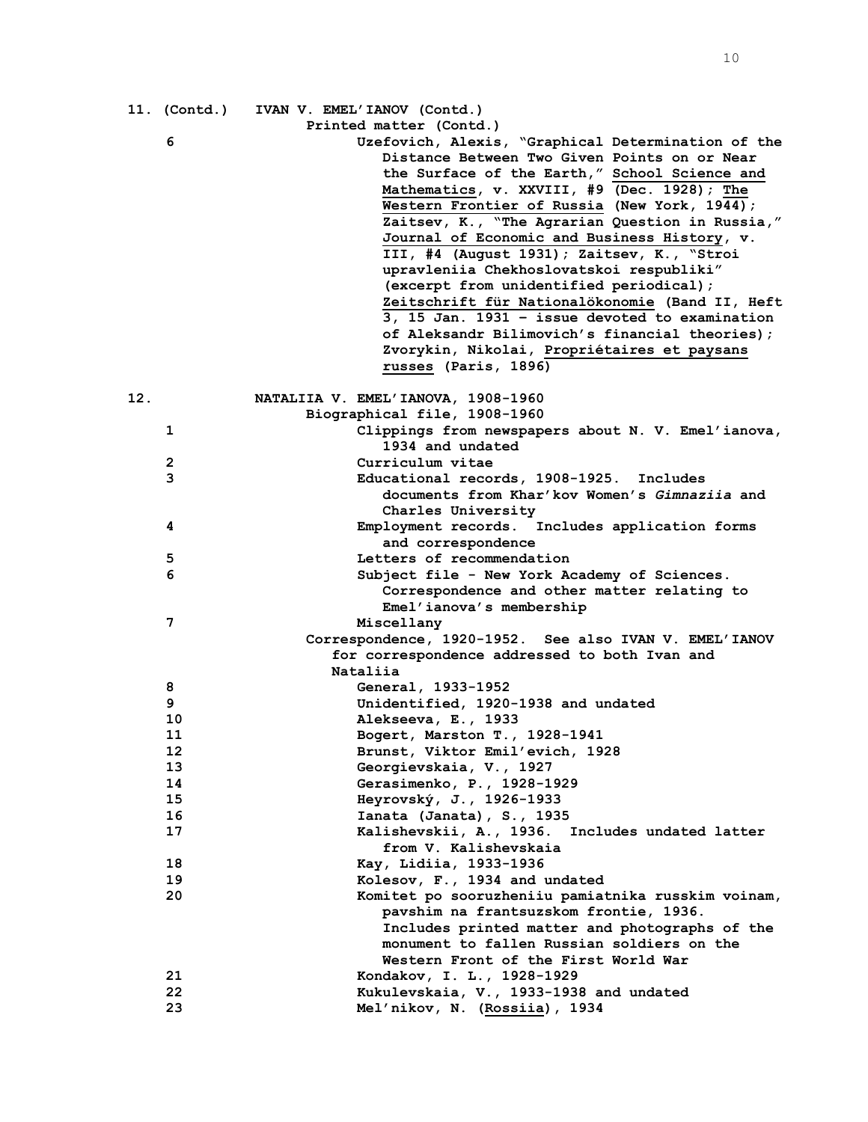|     |    | 11. (Contd.) IVAN V. EMEL'IANOV (Contd.)                                |
|-----|----|-------------------------------------------------------------------------|
|     |    | Printed matter (Contd.)                                                 |
|     | 6  | Uzefovich, Alexis, "Graphical Determination of the                      |
|     |    | Distance Between Two Given Points on or Near                            |
|     |    | the Surface of the Earth," School Science and                           |
|     |    | Mathematics, v. XXVIII, #9 (Dec. 1928); The                             |
|     |    | Western Frontier of Russia (New York, 1944);                            |
|     |    | Zaitsev, K., "The Agrarian Question in Russia,"                         |
|     |    | Journal of Economic and Business History, v.                            |
|     |    | III, #4 (August 1931); Zaitsev, K., "Stroi                              |
|     |    | upravleniia Chekhoslovatskoi respubliki"                                |
|     |    | (excerpt from unidentified periodical);                                 |
|     |    | Zeitschrift für Nationalökonomie (Band II, Heft                         |
|     |    | 3, 15 Jan. 1931 - issue devoted to examination                          |
|     |    | of Aleksandr Bilimovich's financial theories);                          |
|     |    | Zvorykin, Nikolai, Propriétaires et paysans                             |
|     |    | russes (Paris, 1896)                                                    |
| 12. |    | NATALIIA V. EMEL'IANOVA, 1908-1960                                      |
|     |    | Biographical file, 1908-1960                                            |
|     | 1  | Clippings from newspapers about N. V. Emel'ianova,                      |
|     |    | 1934 and undated                                                        |
|     | 2  | Curriculum vitae                                                        |
|     | 3  | Educational records, 1908-1925. Includes                                |
|     |    | documents from Khar'kov Women's Gimnaziia and                           |
|     |    | Charles University                                                      |
|     | 4  | Employment records. Includes application forms                          |
|     |    | and correspondence                                                      |
|     | 5  | Letters of recommendation                                               |
|     | 6  | Subject file - New York Academy of Sciences.                            |
|     |    | Correspondence and other matter relating to<br>Emel'ianova's membership |
|     | 7  | Miscellany                                                              |
|     |    | Correspondence, 1920-1952. See also IVAN V. EMEL'IANOV                  |
|     |    | for correspondence addressed to both Ivan and                           |
|     |    | Nataliia                                                                |
|     | 8  | General, 1933-1952                                                      |
|     | 9  | Unidentified, 1920-1938 and undated                                     |
|     | 10 | Alekseeva, E., 1933                                                     |
|     | 11 | Bogert, Marston T., 1928-1941                                           |
|     | 12 | Brunst, Viktor Emil'evich, 1928                                         |
|     | 13 | Georgievskaia, V., 1927                                                 |
|     | 14 | Gerasimenko, P., 1928-1929                                              |
|     | 15 | Heyrovský, J., 1926-1933                                                |
|     | 16 | Ianata (Janata), S., 1935                                               |
|     | 17 | Kalishevskii, A., 1936. Includes undated latter                         |
|     |    | from V. Kalishevskaia                                                   |
|     | 18 | Kay, Lidiia, 1933-1936                                                  |
|     | 19 | Kolesov, F., 1934 and undated                                           |
|     | 20 | Komitet po sooruzheniiu pamiatnika russkim voinam,                      |
|     |    | pavshim na frantsuzskom frontie, 1936.                                  |
|     |    | Includes printed matter and photographs of the                          |
|     |    | monument to fallen Russian soldiers on the                              |
|     |    | Western Front of the First World War                                    |
|     | 21 | Kondakov, I. L., 1928-1929                                              |
|     | 22 | Kukulevskaia, V., 1933-1938 and undated                                 |
|     | 23 | Mel'nikov, N. (Rossiia), 1934                                           |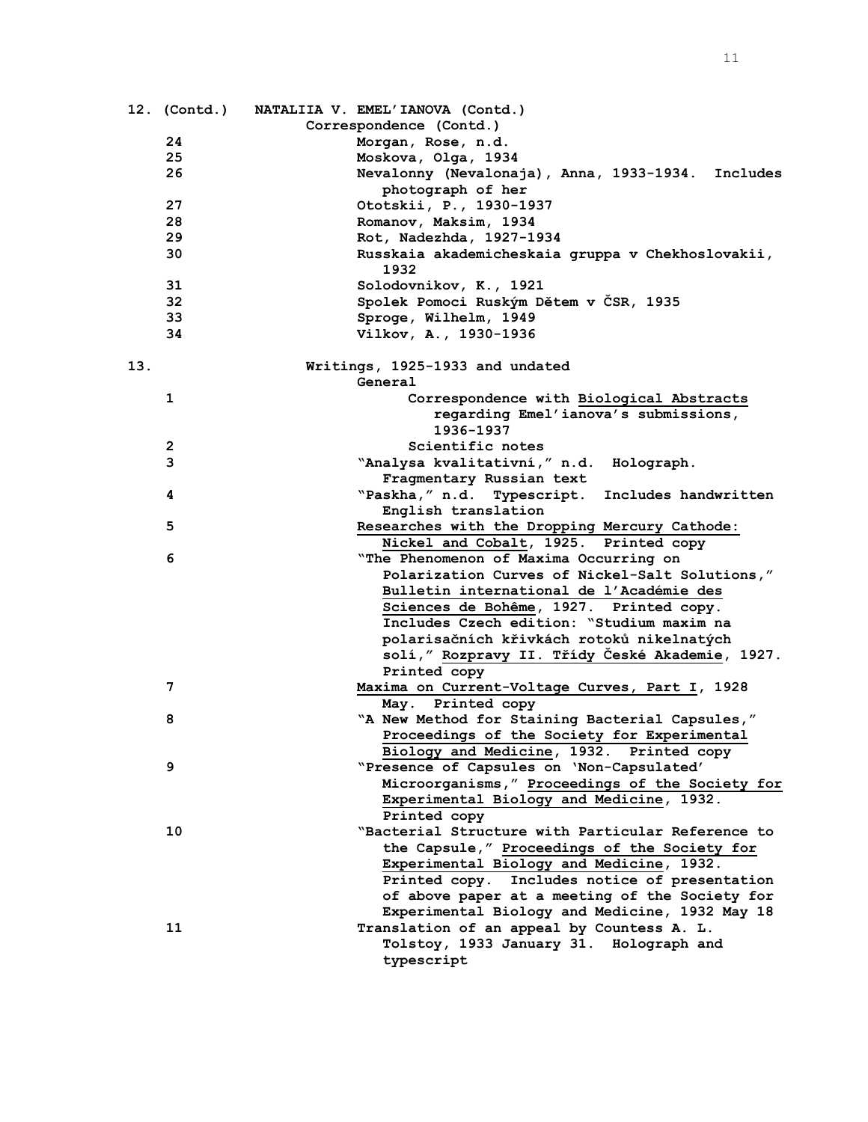|  | 11 |
|--|----|
|  |    |

|     | 12. (Contd.) | NATALIIA V. EMEL'IANOVA (Contd.)                                  |
|-----|--------------|-------------------------------------------------------------------|
|     |              | Correspondence (Contd.)                                           |
|     | 24           | Morgan, Rose, n.d.                                                |
|     | 25           | Moskova, Olga, 1934                                               |
|     | 26           | Nevalonny (Nevalonaja), Anna, 1933-1934. Includes                 |
|     |              | photograph of her                                                 |
|     | 27           | Ototskii, P., 1930-1937                                           |
|     | 28           | Romanov, Maksim, 1934                                             |
|     | 29           | Rot, Nadezhda, 1927-1934                                          |
|     | 30           | Russkaia akademicheskaia gruppa v Chekhoslovakii,<br>1932         |
|     | 31           | Solodovnikov, K., 1921                                            |
|     | 32           | Spolek Pomoci Ruským Dětem v ČSR, 1935                            |
|     | 33           | Sproge, Wilhelm, 1949                                             |
|     | 34           | Vilkov, A., 1930-1936                                             |
|     |              |                                                                   |
| 13. |              | Writings, 1925-1933 and undated<br>General                        |
|     | 1            | Correspondence with Biological Abstracts                          |
|     |              | regarding Emel'ianova's submissions,                              |
|     |              | 1936-1937                                                         |
|     |              | Scientific notes                                                  |
|     | 2<br>3       |                                                                   |
|     |              | "Analysa kvalitativní," n.d. Holograph.                           |
|     |              | Fragmentary Russian text                                          |
|     | 4            | "Paskha," n.d. Typescript. Includes handwritten                   |
|     |              | English translation                                               |
|     | 5            | Researches with the Dropping Mercury Cathode:                     |
|     |              | Nickel and Cobalt, 1925. Printed copy                             |
|     | 6            | "The Phenomenon of Maxima Occurring on                            |
|     |              | Polarization Curves of Nickel-Salt Solutions,"                    |
|     |              | Bulletin international de l'Académie des                          |
|     |              | Sciences de Bohême, 1927. Printed copy.                           |
|     |              | Includes Czech edition: "Studium maxim na                         |
|     |              | polarisačních křivkách rotoků nikelnatých                         |
|     |              | solí, " Rozpravy II. Třídy České Akademie, 1927.                  |
|     |              | Printed copy                                                      |
|     | 7            | Maxima on Current-Voltage Curves, Part I, 1928                    |
|     |              | May. Printed copy                                                 |
|     | 8            | "A New Method for Staining Bacterial Capsules,"                   |
|     |              | Proceedings of the Society for Experimental                       |
|     |              | Biology and Medicine, 1932. Printed copy                          |
|     | 9            | "Presence of Capsules on 'Non-Capsulated'                         |
|     |              | Microorganisms," Proceedings of the Society for                   |
|     |              | Experimental Biology and Medicine, 1932.                          |
|     | 10           | Printed copy<br>"Bacterial Structure with Particular Reference to |
|     |              | the Capsule," Proceedings of the Society for                      |
|     |              | Experimental Biology and Medicine, 1932.                          |
|     |              |                                                                   |
|     |              | Includes notice of presentation<br>Printed copy.                  |
|     |              | of above paper at a meeting of the Society for                    |
|     |              | Experimental Biology and Medicine, 1932 May 18                    |
|     | 11           | Translation of an appeal by Countess A. L.                        |
|     |              | Tolstoy, 1933 January 31. Holograph and                           |
|     |              | typescript                                                        |